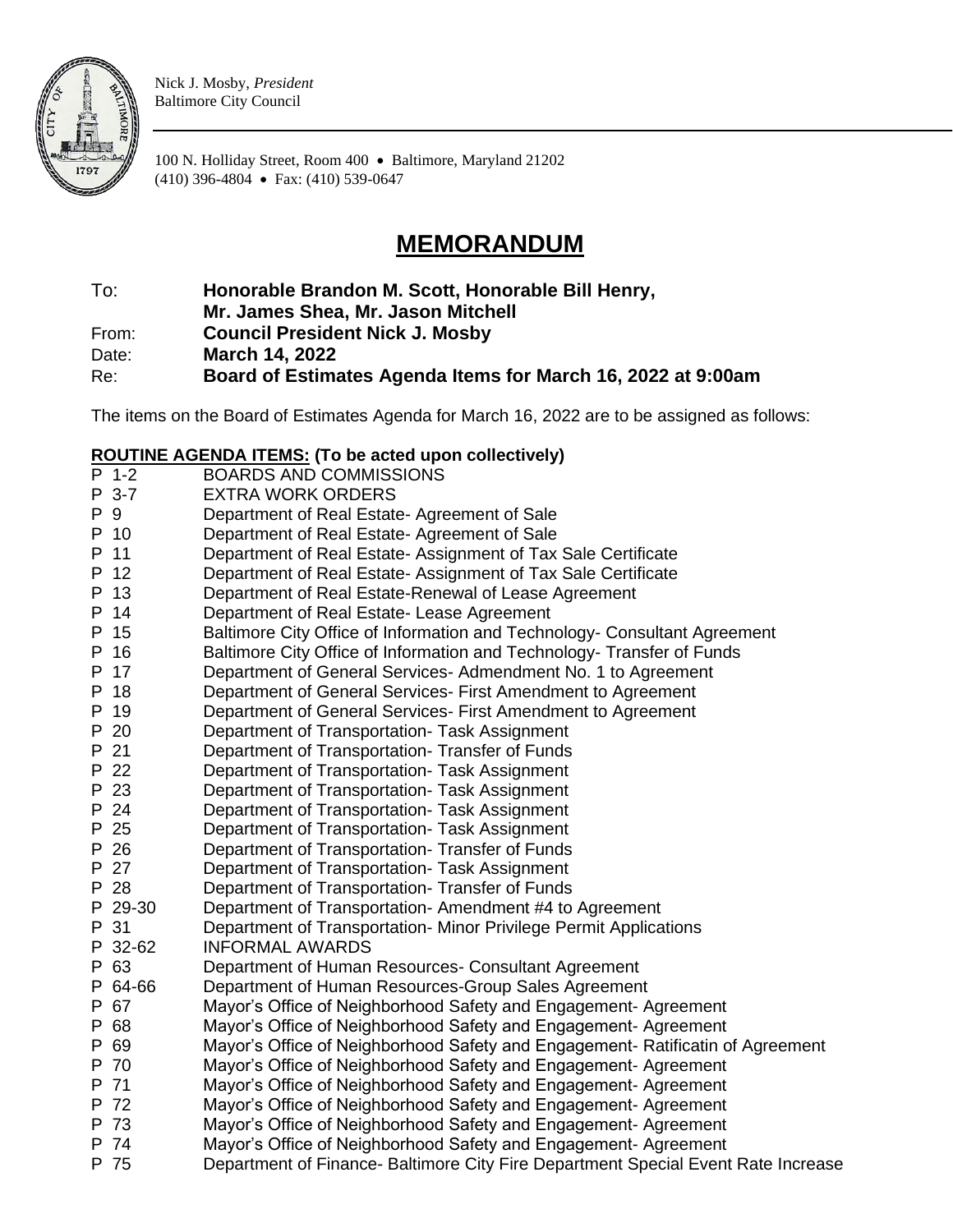

Nick J. Mosby, *President* Baltimore City Council

100 N. Holliday Street, Room 400 • Baltimore, Maryland 21202 (410) 396-4804 • Fax: (410) 539-0647

## **MEMORANDUM**

To: **Honorable Brandon M. Scott, Honorable Bill Henry,** 

**Mr. James Shea, Mr. Jason Mitchell**

From: **Council President Nick J. Mosby**

Date: **March 14, 2022**

Re: **Board of Estimates Agenda Items for March 16, 2022 at 9:00am**

The items on the Board of Estimates Agenda for March 16, 2022 are to be assigned as follows:

## **ROUTINE AGENDA ITEMS: (To be acted upon collectively)**

| P 3-7<br>P 9<br>P 10<br>11<br>12<br>13<br>14<br>15<br>16<br>17<br>18<br>P 19 | <b>EXTRA WORK ORDERS</b><br>Department of Real Estate- Agreement of Sale<br>Department of Real Estate- Agreement of Sale<br>Department of Real Estate- Assignment of Tax Sale Certificate<br>Department of Real Estate- Assignment of Tax Sale Certificate<br>Department of Real Estate-Renewal of Lease Agreement<br>Department of Real Estate- Lease Agreement<br>Baltimore City Office of Information and Technology- Consultant Agreement<br>Baltimore City Office of Information and Technology- Transfer of Funds<br>Department of General Services-Admendment No. 1 to Agreement<br>Department of General Services- First Amendment to Agreement<br>Department of General Services- First Amendment to Agreement |
|------------------------------------------------------------------------------|-------------------------------------------------------------------------------------------------------------------------------------------------------------------------------------------------------------------------------------------------------------------------------------------------------------------------------------------------------------------------------------------------------------------------------------------------------------------------------------------------------------------------------------------------------------------------------------------------------------------------------------------------------------------------------------------------------------------------|
|                                                                              |                                                                                                                                                                                                                                                                                                                                                                                                                                                                                                                                                                                                                                                                                                                         |
|                                                                              |                                                                                                                                                                                                                                                                                                                                                                                                                                                                                                                                                                                                                                                                                                                         |
|                                                                              |                                                                                                                                                                                                                                                                                                                                                                                                                                                                                                                                                                                                                                                                                                                         |
|                                                                              |                                                                                                                                                                                                                                                                                                                                                                                                                                                                                                                                                                                                                                                                                                                         |
|                                                                              |                                                                                                                                                                                                                                                                                                                                                                                                                                                                                                                                                                                                                                                                                                                         |
|                                                                              |                                                                                                                                                                                                                                                                                                                                                                                                                                                                                                                                                                                                                                                                                                                         |
|                                                                              |                                                                                                                                                                                                                                                                                                                                                                                                                                                                                                                                                                                                                                                                                                                         |
|                                                                              |                                                                                                                                                                                                                                                                                                                                                                                                                                                                                                                                                                                                                                                                                                                         |
|                                                                              |                                                                                                                                                                                                                                                                                                                                                                                                                                                                                                                                                                                                                                                                                                                         |
|                                                                              |                                                                                                                                                                                                                                                                                                                                                                                                                                                                                                                                                                                                                                                                                                                         |
|                                                                              |                                                                                                                                                                                                                                                                                                                                                                                                                                                                                                                                                                                                                                                                                                                         |
|                                                                              |                                                                                                                                                                                                                                                                                                                                                                                                                                                                                                                                                                                                                                                                                                                         |
|                                                                              | Department of Transportation- Task Assignment                                                                                                                                                                                                                                                                                                                                                                                                                                                                                                                                                                                                                                                                           |
|                                                                              | Department of Transportation- Transfer of Funds                                                                                                                                                                                                                                                                                                                                                                                                                                                                                                                                                                                                                                                                         |
|                                                                              | Department of Transportation- Task Assignment                                                                                                                                                                                                                                                                                                                                                                                                                                                                                                                                                                                                                                                                           |
|                                                                              | Department of Transportation- Task Assignment                                                                                                                                                                                                                                                                                                                                                                                                                                                                                                                                                                                                                                                                           |
|                                                                              | Department of Transportation- Task Assignment                                                                                                                                                                                                                                                                                                                                                                                                                                                                                                                                                                                                                                                                           |
|                                                                              | Department of Transportation- Task Assignment                                                                                                                                                                                                                                                                                                                                                                                                                                                                                                                                                                                                                                                                           |
|                                                                              | Department of Transportation- Transfer of Funds                                                                                                                                                                                                                                                                                                                                                                                                                                                                                                                                                                                                                                                                         |
|                                                                              | Department of Transportation- Task Assignment                                                                                                                                                                                                                                                                                                                                                                                                                                                                                                                                                                                                                                                                           |
|                                                                              | Department of Transportation- Transfer of Funds                                                                                                                                                                                                                                                                                                                                                                                                                                                                                                                                                                                                                                                                         |
|                                                                              | Department of Transportation- Amendment #4 to Agreement                                                                                                                                                                                                                                                                                                                                                                                                                                                                                                                                                                                                                                                                 |
|                                                                              | Department of Transportation- Minor Privilege Permit Applications                                                                                                                                                                                                                                                                                                                                                                                                                                                                                                                                                                                                                                                       |
|                                                                              | <b>INFORMAL AWARDS</b>                                                                                                                                                                                                                                                                                                                                                                                                                                                                                                                                                                                                                                                                                                  |
|                                                                              | Department of Human Resources- Consultant Agreement                                                                                                                                                                                                                                                                                                                                                                                                                                                                                                                                                                                                                                                                     |
|                                                                              | Department of Human Resources-Group Sales Agreement                                                                                                                                                                                                                                                                                                                                                                                                                                                                                                                                                                                                                                                                     |
|                                                                              | Mayor's Office of Neighborhood Safety and Engagement- Agreement                                                                                                                                                                                                                                                                                                                                                                                                                                                                                                                                                                                                                                                         |
|                                                                              | Mayor's Office of Neighborhood Safety and Engagement- Agreement                                                                                                                                                                                                                                                                                                                                                                                                                                                                                                                                                                                                                                                         |
|                                                                              | Mayor's Office of Neighborhood Safety and Engagement- Ratificatin of Agreement                                                                                                                                                                                                                                                                                                                                                                                                                                                                                                                                                                                                                                          |
|                                                                              | Mayor's Office of Neighborhood Safety and Engagement- Agreement                                                                                                                                                                                                                                                                                                                                                                                                                                                                                                                                                                                                                                                         |
|                                                                              | Mayor's Office of Neighborhood Safety and Engagement-Agreement                                                                                                                                                                                                                                                                                                                                                                                                                                                                                                                                                                                                                                                          |
|                                                                              | Mayor's Office of Neighborhood Safety and Engagement- Agreement                                                                                                                                                                                                                                                                                                                                                                                                                                                                                                                                                                                                                                                         |
|                                                                              | Mayor's Office of Neighborhood Safety and Engagement- Agreement                                                                                                                                                                                                                                                                                                                                                                                                                                                                                                                                                                                                                                                         |
|                                                                              | Mayor's Office of Neighborhood Safety and Engagement- Agreement                                                                                                                                                                                                                                                                                                                                                                                                                                                                                                                                                                                                                                                         |
|                                                                              | Department of Finance- Baltimore City Fire Department Special Event Rate Increase                                                                                                                                                                                                                                                                                                                                                                                                                                                                                                                                                                                                                                       |
|                                                                              | P 20<br>P 21<br>P 22<br>P 23<br>P 24<br>P 25<br>P 26<br>P 27<br>P 28<br>P 29-30<br>P 31<br>P 32-62<br>P 63<br>P 64-66<br>P 67<br>P 68<br>P 69<br>P 70<br>P 71<br>P 72<br>P 73<br>P 74<br>P 75                                                                                                                                                                                                                                                                                                                                                                                                                                                                                                                           |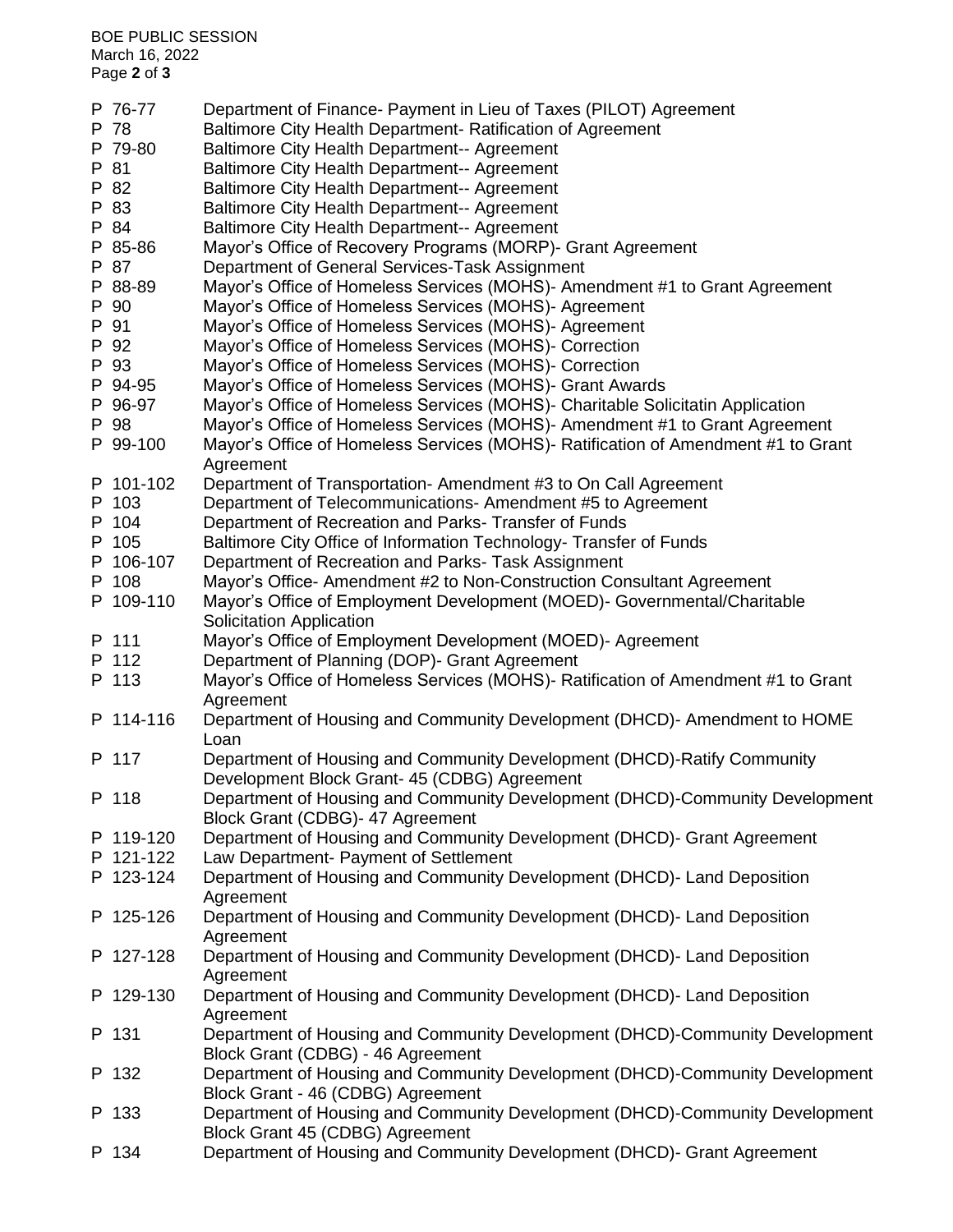| P 76-77   | Department of Finance- Payment in Lieu of Taxes (PILOT) Agreement                              |
|-----------|------------------------------------------------------------------------------------------------|
| P 78      | Baltimore City Health Department- Ratification of Agreement                                    |
| P 79-80   | <b>Baltimore City Health Department-- Agreement</b>                                            |
| P 81      | <b>Baltimore City Health Department-- Agreement</b>                                            |
| P 82      | <b>Baltimore City Health Department-- Agreement</b>                                            |
| P 83      | <b>Baltimore City Health Department-- Agreement</b>                                            |
| P 84      |                                                                                                |
|           | <b>Baltimore City Health Department-- Agreement</b>                                            |
| P 85-86   | Mayor's Office of Recovery Programs (MORP)- Grant Agreement                                    |
| P 87      | Department of General Services-Task Assignment                                                 |
| P 88-89   | Mayor's Office of Homeless Services (MOHS)- Amendment #1 to Grant Agreement                    |
| P 90      | Mayor's Office of Homeless Services (MOHS)- Agreement                                          |
| P 91      | Mayor's Office of Homeless Services (MOHS)- Agreement                                          |
| P 92      | Mayor's Office of Homeless Services (MOHS)- Correction                                         |
| P 93      | Mayor's Office of Homeless Services (MOHS)- Correction                                         |
| P 94-95   | Mayor's Office of Homeless Services (MOHS)- Grant Awards                                       |
| P 96-97   | Mayor's Office of Homeless Services (MOHS)- Charitable Solicitatin Application                 |
| P 98      | Mayor's Office of Homeless Services (MOHS)- Amendment #1 to Grant Agreement                    |
| P 99-100  | Mayor's Office of Homeless Services (MOHS)- Ratification of Amendment #1 to Grant              |
|           | Agreement                                                                                      |
| P 101-102 | Department of Transportation- Amendment #3 to On Call Agreement                                |
| P 103     | Department of Telecommunications- Amendment #5 to Agreement                                    |
| P 104     | Department of Recreation and Parks- Transfer of Funds                                          |
| P 105     | Baltimore City Office of Information Technology- Transfer of Funds                             |
| P 106-107 | Department of Recreation and Parks- Task Assignment                                            |
| P 108     | Mayor's Office- Amendment #2 to Non-Construction Consultant Agreement                          |
| P 109-110 | Mayor's Office of Employment Development (MOED) - Governmental/Charitable                      |
|           | <b>Solicitation Application</b>                                                                |
| P 111     | Mayor's Office of Employment Development (MOED)- Agreement                                     |
| P 112     | Department of Planning (DOP)- Grant Agreement                                                  |
| P 113     |                                                                                                |
|           | Mayor's Office of Homeless Services (MOHS)- Ratification of Amendment #1 to Grant<br>Agreement |
| P 114-116 | Department of Housing and Community Development (DHCD)- Amendment to HOME                      |
|           | Loan                                                                                           |
| P 117     |                                                                                                |
|           | Department of Housing and Community Development (DHCD)-Ratify Community                        |
|           | Development Block Grant- 45 (CDBG) Agreement                                                   |
| P 118     | Department of Housing and Community Development (DHCD)-Community Development                   |
|           | Block Grant (CDBG)- 47 Agreement                                                               |
| P 119-120 | Department of Housing and Community Development (DHCD)- Grant Agreement                        |
| P 121-122 | Law Department- Payment of Settlement                                                          |
| P 123-124 | Department of Housing and Community Development (DHCD)- Land Deposition                        |
|           | Agreement                                                                                      |
| P 125-126 | Department of Housing and Community Development (DHCD)- Land Deposition                        |
|           | Agreement                                                                                      |
| P 127-128 | Department of Housing and Community Development (DHCD)- Land Deposition                        |
|           | Agreement                                                                                      |
| P 129-130 | Department of Housing and Community Development (DHCD)- Land Deposition                        |
|           | Agreement                                                                                      |
| P 131     | Department of Housing and Community Development (DHCD)-Community Development                   |
|           | Block Grant (CDBG) - 46 Agreement                                                              |
| P 132     | Department of Housing and Community Development (DHCD)-Community Development                   |
|           | Block Grant - 46 (CDBG) Agreement                                                              |
| P 133     | Department of Housing and Community Development (DHCD)-Community Development                   |
|           | Block Grant 45 (CDBG) Agreement                                                                |
| P 134     | Department of Housing and Community Development (DHCD)- Grant Agreement                        |
|           |                                                                                                |